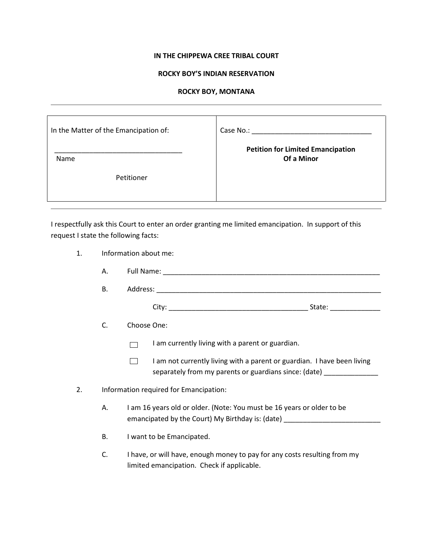## **IN THE CHIPPEWA CREE TRIBAL COURT**

## **ROCKY BOY'S INDIAN RESERVATION**

## **ROCKY BOY, MONTANA**

| In the Matter of the Emancipation of: | Case No.:                                |
|---------------------------------------|------------------------------------------|
| <b>Name</b>                           | <b>Petition for Limited Emancipation</b> |
| Petitioner                            | Of a Minor                               |

I respectfully ask this Court to enter an order granting me limited emancipation. In support of this request I state the following facts:

- 1. Information about me:
	- A. Full Name: \_\_\_\_\_\_\_\_\_\_\_\_\_\_\_\_\_\_\_\_\_\_\_\_\_\_\_\_\_\_\_\_\_\_\_\_\_\_\_\_\_\_\_\_\_\_\_\_\_\_\_\_\_\_\_\_
	- B. Address: \_\_\_\_\_\_\_\_\_\_\_\_\_\_\_\_\_\_\_\_\_\_\_\_\_\_\_\_\_\_\_\_\_\_\_\_\_\_\_\_\_\_\_\_\_\_\_\_\_\_\_\_\_\_\_\_\_\_

City: \_\_\_\_\_\_\_\_\_\_\_\_\_\_\_\_\_\_\_\_\_\_\_\_\_\_\_\_\_\_\_\_\_\_\_\_ State: \_\_\_\_\_\_\_\_\_\_\_\_\_

C. Choose One:

I am currently living with a parent or guardian.  $\Box$ 

- $\Box$ I am not currently living with a parent or guardian. I have been living separately from my parents or guardians since: (date)
- 2. Information required for Emancipation:
	- A. I am 16 years old or older. (Note: You must be 16 years or older to be emancipated by the Court) My Birthday is: (date) \_\_\_\_\_\_\_\_\_\_\_\_\_\_\_\_\_\_\_\_\_\_\_\_\_\_\_\_\_\_\_
	- B. I want to be Emancipated.
	- C. I have, or will have, enough money to pay for any costs resulting from my limited emancipation. Check if applicable.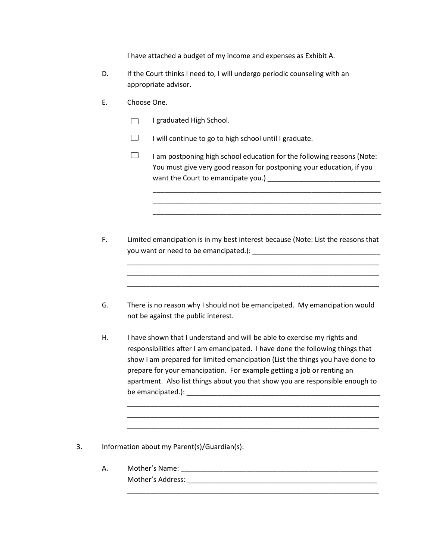I have attached a budget of my income and expenses as Exhibit A.

- D. If the Court thinks I need to, I will undergo periodic counseling with an appropriate advisor.
- E. Choose One.
	- I graduated High School.  $\Box$
	- $\Box$ I will continue to go to high school until I graduate.
	- $\Box$ I am postponing high school education for the following reasons (Note: You must give very good reason for postponing your education, if you want the Court to emancipate you.) \_\_\_\_\_\_\_\_\_\_\_\_\_\_\_\_\_\_\_\_\_\_\_\_\_\_\_\_\_

\_\_\_\_\_\_\_\_\_\_\_\_\_\_\_\_\_\_\_\_\_\_\_\_\_\_\_\_\_\_\_\_\_\_\_\_\_\_\_\_\_\_\_\_\_\_\_\_\_\_\_\_\_\_\_\_\_\_\_ \_\_\_\_\_\_\_\_\_\_\_\_\_\_\_\_\_\_\_\_\_\_\_\_\_\_\_\_\_\_\_\_\_\_\_\_\_\_\_\_\_\_\_\_\_\_\_\_\_\_\_\_\_\_\_\_\_\_\_ \_\_\_\_\_\_\_\_\_\_\_\_\_\_\_\_\_\_\_\_\_\_\_\_\_\_\_\_\_\_\_\_\_\_\_\_\_\_\_\_\_\_\_\_\_\_\_\_\_\_\_\_\_\_\_\_\_\_\_

F. Limited emancipation is in my best interest because (Note: List the reasons that you want or need to be emancipated.): \_\_\_\_\_\_\_\_\_\_\_\_\_\_\_\_\_\_\_\_\_\_\_\_\_\_\_\_\_\_\_\_\_

\_\_\_\_\_\_\_\_\_\_\_\_\_\_\_\_\_\_\_\_\_\_\_\_\_\_\_\_\_\_\_\_\_\_\_\_\_\_\_\_\_\_\_\_\_\_\_\_\_\_\_\_\_\_\_\_\_\_\_\_\_\_\_\_\_ \_\_\_\_\_\_\_\_\_\_\_\_\_\_\_\_\_\_\_\_\_\_\_\_\_\_\_\_\_\_\_\_\_\_\_\_\_\_\_\_\_\_\_\_\_\_\_\_\_\_\_\_\_\_\_\_\_\_\_\_\_\_\_\_\_ \_\_\_\_\_\_\_\_\_\_\_\_\_\_\_\_\_\_\_\_\_\_\_\_\_\_\_\_\_\_\_\_\_\_\_\_\_\_\_\_\_\_\_\_\_\_\_\_\_\_\_\_\_\_\_\_\_\_\_\_\_\_\_\_\_

- G. There is no reason why I should not be emancipated. My emancipation would not be against the public interest.
- H. I have shown that I understand and will be able to exercise my rights and responsibilities after I am emancipated. I have done the following things that show I am prepared for limited emancipation (List the things you have done to prepare for your emancipation. For example getting a job or renting an apartment. Also list things about you that show you are responsible enough to be emancipated.): \_\_\_\_\_\_\_\_\_\_\_\_\_\_\_\_\_\_\_\_\_\_\_\_\_\_\_\_\_\_\_\_\_\_\_\_\_\_\_\_\_\_\_\_\_\_\_\_\_\_

\_\_\_\_\_\_\_\_\_\_\_\_\_\_\_\_\_\_\_\_\_\_\_\_\_\_\_\_\_\_\_\_\_\_\_\_\_\_\_\_\_\_\_\_\_\_\_\_\_\_\_\_\_\_\_\_\_\_\_\_\_\_\_\_\_ \_\_\_\_\_\_\_\_\_\_\_\_\_\_\_\_\_\_\_\_\_\_\_\_\_\_\_\_\_\_\_\_\_\_\_\_\_\_\_\_\_\_\_\_\_\_\_\_\_\_\_\_\_\_\_\_\_\_\_\_\_\_\_\_\_ \_\_\_\_\_\_\_\_\_\_\_\_\_\_\_\_\_\_\_\_\_\_\_\_\_\_\_\_\_\_\_\_\_\_\_\_\_\_\_\_\_\_\_\_\_\_\_\_\_\_\_\_\_\_\_\_\_\_\_\_\_\_\_\_\_

\_\_\_\_\_\_\_\_\_\_\_\_\_\_\_\_\_\_\_\_\_\_\_\_\_\_\_\_\_\_\_\_\_\_\_\_\_\_\_\_\_\_\_\_\_\_\_\_\_\_\_\_\_\_\_\_\_\_\_\_\_\_\_\_\_

- 3. Information about my Parent(s)/Guardian(s):
	- A. Mother's Name: \_\_\_\_\_\_\_\_\_\_\_\_\_\_\_\_\_\_\_\_\_\_\_\_\_\_\_\_\_\_\_\_\_\_\_\_\_\_\_\_\_\_\_\_\_\_\_\_\_\_\_ Mother's Address: \_\_\_\_\_\_\_\_\_\_\_\_\_\_\_\_\_\_\_\_\_\_\_\_\_\_\_\_\_\_\_\_\_\_\_\_\_\_\_\_\_\_\_\_\_\_\_\_\_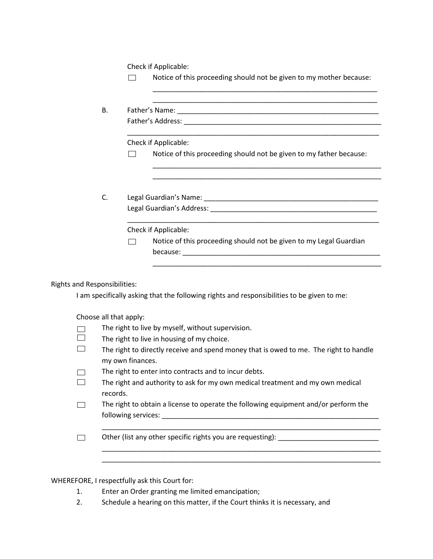Check if Applicable:

|                                     |                                                                                                           |  | Notice of this proceeding should not be given to my mother because:                                                                         |  |
|-------------------------------------|-----------------------------------------------------------------------------------------------------------|--|---------------------------------------------------------------------------------------------------------------------------------------------|--|
|                                     |                                                                                                           |  |                                                                                                                                             |  |
| В.                                  |                                                                                                           |  |                                                                                                                                             |  |
|                                     |                                                                                                           |  |                                                                                                                                             |  |
|                                     |                                                                                                           |  | <u> 1989 - Johann John Stoff, deutscher Stoffen und der Stoffen und der Stoffen und der Stoffen und der Stoffen</u><br>Check if Applicable: |  |
|                                     |                                                                                                           |  | Notice of this proceeding should not be given to my father because:                                                                         |  |
|                                     |                                                                                                           |  |                                                                                                                                             |  |
|                                     | C.                                                                                                        |  |                                                                                                                                             |  |
|                                     |                                                                                                           |  |                                                                                                                                             |  |
|                                     |                                                                                                           |  | Check if Applicable:                                                                                                                        |  |
|                                     |                                                                                                           |  | Notice of this proceeding should not be given to my Legal Guardian                                                                          |  |
|                                     |                                                                                                           |  |                                                                                                                                             |  |
|                                     |                                                                                                           |  |                                                                                                                                             |  |
| <b>Rights and Responsibilities:</b> |                                                                                                           |  | I am specifically asking that the following rights and responsibilities to be given to me:                                                  |  |
|                                     | Choose all that apply:                                                                                    |  |                                                                                                                                             |  |
|                                     | The right to live by myself, without supervision.                                                         |  |                                                                                                                                             |  |
| $\overline{\phantom{a}}$            | The right to live in housing of my choice.                                                                |  |                                                                                                                                             |  |
|                                     | The right to directly receive and spend money that is owed to me. The right to handle<br>my own finances. |  |                                                                                                                                             |  |
|                                     | The right to enter into contracts and to incur debts.                                                     |  |                                                                                                                                             |  |
|                                     | The right and authority to ask for my own medical treatment and my own medical<br>records.                |  |                                                                                                                                             |  |
|                                     | The right to obtain a license to operate the following equipment and/or perform the                       |  |                                                                                                                                             |  |
|                                     | Other (list any other specific rights you are requesting): ______________________                         |  |                                                                                                                                             |  |
|                                     |                                                                                                           |  |                                                                                                                                             |  |

WHEREFORE, I respectfully ask this Court for:

- 1. Enter an Order granting me limited emancipation;
- 2. Schedule a hearing on this matter, if the Court thinks it is necessary, and